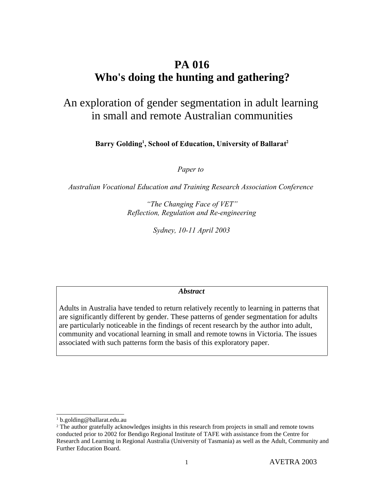# **PA 016 Who's doing the hunting and gathering?**

# An exploration of gender segmentation in adult learning in small and remote Australian communities

**Barry Golding 1 , School of Education, University of Ballarat 2**

*Paper to* 

*Australian Vocational Education and Training Research Association Conference* 

*"The Changing Face of VET" Reflection, Regulation and Re-engineering*

*Sydney, 10-11 April 2003*

*Abstract*

Adults in Australia have tended to return relatively recently to learning in patterns that are significantly different by gender. These patterns of gender segmentation for adults are particularly noticeable in the findings of recent research by the author into adult, community and vocational learning in small and remote towns in Victoria. The issues associated with such patterns form the basis of this exploratory paper.

<sup>1</sup> b.golding@ballarat.edu.au

<sup>&</sup>lt;sup>2</sup> The author gratefully acknowledges insights in this research from projects in small and remote towns conducted prior to 2002 for Bendigo Regional Institute of TAFE with assistance from the Centre for Research and Learning in Regional Australia (University of Tasmania) as well as the Adult, Community and Further Education Board.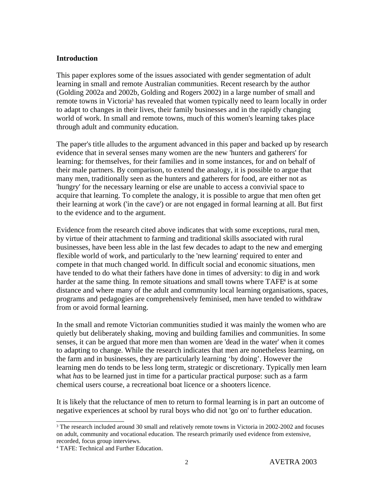#### **Introduction**

This paper explores some of the issues associated with gender segmentation of adult learning in small and remote Australian communities. Recent research by the author (Golding 2002a and 2002b, Golding and Rogers 2002) in a large number of small and remote towns in Victoria 3 has revealed that women typically need to learn locally in order to adapt to changes in their lives, their family businesses and in the rapidly changing world of work. In small and remote towns, much of this women's learning takes place through adult and community education.

The paper's title alludes to the argument advanced in this paper and backed up by research evidence that in several senses many women are the new 'hunters and gatherers' for learning: for themselves, for their families and in some instances, for and on behalf of their male partners. By comparison, to extend the analogy, it is possible to argue that many men, traditionally seen as the hunters and gatherers for food, are either not as 'hungry' for the necessary learning or else are unable to access a convivial space to acquire that learning. To complete the analogy, it is possible to argue that men often get their learning at work ('in the cave') or are not engaged in formal learning at all. But first to the evidence and to the argument.

Evidence from the research cited above indicates that with some exceptions, rural men, by virtue of their attachment to farming and traditional skills associated with rural businesses, have been less able in the last few decades to adapt to the new and emerging flexible world of work, and particularly to the 'new learning' required to enter and compete in that much changed world. In difficult social and economic situations, men have tended to do what their fathers have done in times of adversity: to dig in and work harder at the same thing. In remote situations and small towns where TAFE<sup>4</sup> is at some distance and where many of the adult and community local learning organisations, spaces, programs and pedagogies are comprehensively feminised, men have tended to withdraw from or avoid formal learning.

In the small and remote Victorian communities studied it was mainly the women who are quietly but deliberately shaking, moving and building families and communities. In some senses, it can be argued that more men than women are 'dead in the water' when it comes to adapting to change. While the research indicates that men are nonetheless learning, on the farm and in businesses, they are particularly learning 'by doing'. However the learning men do tends to be less long term, strategic or discretionary. Typically men learn what *has* to be learned just in time for a particular practical purpose: such as a farm chemical users course, a recreational boat licence or a shooters licence.

It is likely that the reluctance of men to return to formal learning is in part an outcome of negative experiences at school by rural boys who did not 'go on' to further education.

<sup>&</sup>lt;sup>3</sup> The research included around 30 small and relatively remote towns in Victoria in 2002-2002 and focuses on adult, community and vocational education. The research primarily used evidence from extensive, recorded, focus group interviews.

<sup>4</sup> TAFE: Technical and Further Education.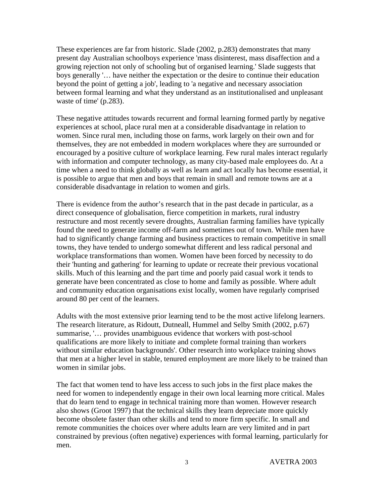These experiences are far from historic. Slade (2002, p.283) demonstrates that many present day Australian schoolboys experience 'mass disinterest, mass disaffection and a growing rejection not only of schooling but of organised learning.' Slade suggests that boys generally '… have neither the expectation or the desire to continue their education beyond the point of getting a job', leading to 'a negative and necessary association between formal learning and what they understand as an institutionalised and unpleasant waste of time' (p.283).

These negative attitudes towards recurrent and formal learning formed partly by negative experiences at school, place rural men at a considerable disadvantage in relation to women. Since rural men, including those on farms, work largely on their own and for themselves, they are not embedded in modern workplaces where they are surrounded or encouraged by a positive culture of workplace learning. Few rural males interact regularly with information and computer technology, as many city-based male employees do. At a time when a need to think globally as well as learn and act locally has become essential, it is possible to argue that men and boys that remain in small and remote towns are at a considerable disadvantage in relation to women and girls.

There is evidence from the author's research that in the past decade in particular, as a direct consequence of globalisation, fierce competition in markets, rural industry restructure and most recently severe droughts, Australian farming families have typically found the need to generate income off-farm and sometimes out of town. While men have had to significantly change farming and business practices to remain competitive in small towns, they have tended to undergo somewhat different and less radical personal and workplace transformations than women. Women have been forced by necessity to do their 'hunting and gathering' for learning to update or recreate their previous vocational skills. Much of this learning and the part time and poorly paid casual work it tends to generate have been concentrated as close to home and family as possible. Where adult and community education organisations exist locally, women have regularly comprised around 80 per cent of the learners.

Adults with the most extensive prior learning tend to be the most active lifelong learners. The research literature, as Ridoutt, Dutneall, Hummel and Selby Smith (2002, p.67) summarise, '… provides unambiguous evidence that workers with post-school qualifications are more likely to initiate and complete formal training than workers without similar education backgrounds'. Other research into workplace training shows that men at a higher level in stable, tenured employment are more likely to be trained than women in similar jobs.

The fact that women tend to have less access to such jobs in the first place makes the need for women to independently engage in their own local learning more critical. Males that do learn tend to engage in technical training more than women. However research also shows (Groot 1997) that the technical skills they learn depreciate more quickly become obsolete faster than other skills and tend to more firm specific. In small and remote communities the choices over where adults learn are very limited and in part constrained by previous (often negative) experiences with formal learning, particularly for men.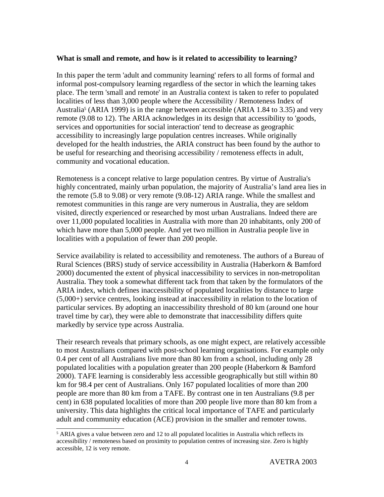#### **What is small and remote, and how is it related to accessibility to learning?**

In this paper the term 'adult and community learning' refers to all forms of formal and informal post-compulsory learning regardless of the sector in which the learning takes place. The term 'small and remote' in an Australia context is taken to refer to populated localities of less than 3,000 people where the Accessibility / Remoteness Index of Australia 5 (ARIA 1999) is in the range between accessible (ARIA 1.84 to 3.35) and very remote (9.08 to 12). The ARIA acknowledges in its design that accessibility to 'goods, services and opportunities for social interaction' tend to decrease as geographic accessibility to increasingly large population centres increases. While originally developed for the health industries, the ARIA construct has been found by the author to be useful for researching and theorising accessibility / remoteness effects in adult, community and vocational education.

Remoteness is a concept relative to large population centres. By virtue of Australia's highly concentrated, mainly urban population, the majority of Australia's land area lies in the remote (5.8 to 9.08) or very remote (9.08-12) ARIA range. While the smallest and remotest communities in this range are very numerous in Australia, they are seldom visited, directly experienced or researched by most urban Australians. Indeed there are over 11,000 populated localities in Australia with more than 20 inhabitants, only 200 of which have more than 5,000 people. And yet two million in Australia people live in localities with a population of fewer than 200 people.

Service availability is related to accessibility and remoteness. The authors of a Bureau of Rural Sciences (BRS) study of service accessibility in Australia (Haberkorn & Bamford 2000) documented the extent of physical inaccessibility to services in non-metropolitan Australia. They took a somewhat different tack from that taken by the formulators of the ARIA index, which defines inaccessibility of populated localities by distance to large  $(5,000+)$  service centres, looking instead at inaccessibility in relation to the location of particular services. By adopting an inaccessibility threshold of 80 km (around one hour travel time by car), they were able to demonstrate that inaccessibility differs quite markedly by service type across Australia.

Their research reveals that primary schools, as one might expect, are relatively accessible to most Australians compared with post-school learning organisations. For example only 0.4 per cent of all Australians live more than 80 km from a school, including only 28 populated localities with a population greater than 200 people (Haberkorn & Bamford 2000). TAFE learning is considerably less accessible geographically but still within 80 km for 98.4 per cent of Australians. Only 167 populated localities of more than 200 people are more than 80 km from a TAFE. By contrast one in ten Australians (9.8 per cent) in 638 populated localities of more than 200 people live more than 80 km from a university. This data highlights the critical local importance of TAFE and particularly adult and community education (ACE) provision in the smaller and remoter towns.

<sup>5</sup> ARIA gives a value between zero and 12 to all populated localities in Australia which reflects its accessibility / remoteness based on proximity to population centres of increasing size. Zero is highly accessible, 12 is very remote.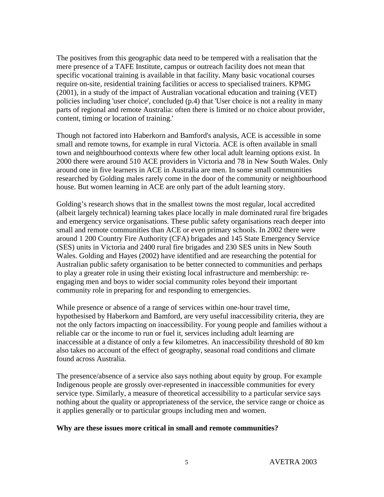The positives from this geographic data need to be tempered with a realisation that the mere presence of a TAFE Institute, campus or outreach facility does not mean that specific vocational training is available in that facility. Many basic vocational courses require on-site, residential training facilities or access to specialised trainers. KPMG (2001), in a study of the impact of Australian vocational education and training (VET) policies including 'user choice', concluded (p.4) that 'User choice is not a reality in many parts of regional and remote Australia: often there is limited or no choice about provider, content, timing or location of training.'

Though not factored into Haberkorn and Bamford's analysis, ACE is accessible in some small and remote towns, for example in rural Victoria. ACE is often available in small town and neighbourhood contexts where few other local adult learning options exist. In 2000 there were around 510 ACE providers in Victoria and 78 in New South Wales. Only around one in five learners in ACE in Australia are men. In some small communities researched by Golding males rarely come in the door of the community or neighbourhood house. But women learning in ACE are only part of the adult learning story.

Golding's research shows that in the smallest towns the most regular, local accredited (albeit largely technical) learning takes place locally in male dominated rural fire brigades and emergency service organisations. These public safety organisations reach deeper into small and remote communities than ACE or even primary schools. In 2002 there were around 1 200 Country Fire Authority (CFA) brigades and 145 State Emergency Service (SES) units in Victoria and 2400 rural fire brigades and 230 SES units in New South Wales. Golding and Hayes (2002) have identified and are researching the potential for Australian public safety organisation to be better connected to communities and perhaps to play a greater role in using their existing local infrastructure and membership: reengaging men and boys to wider social community roles beyond their important community role in preparing for and responding to emergencies.

While presence or absence of a range of services within one-hour travel time, hypothesised by Haberkorn and Bamford, are very useful inaccessibility criteria, they are not the only factors impacting on inaccessibility. For young people and families without a reliable car or the income to run or fuel it, services including adult learning are inaccessible at a distance of only a few kilometres. An inaccessibility threshold of 80 km also takes no account of the effect of geography, seasonal road conditions and climate found across Australia.

The presence/absence of a service also says nothing about equity by group. For example Indigenous people are grossly over-represented in inaccessible communities for every service type. Similarly, a measure of theoretical accessibility to a particular service says nothing about the quality or appropriateness of the service, the service range or choice as it applies generally or to particular groups including men and women.

#### **Why are these issues more critical in small and remote communities?**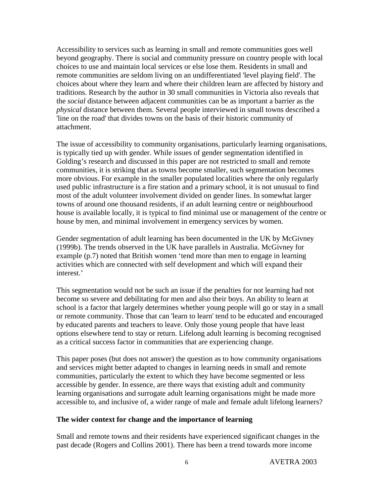Accessibility to services such as learning in small and remote communities goes well beyond geography. There is social and community pressure on country people with local choices to use and maintain local services or else lose them. Residents in small and remote communities are seldom living on an undifferentiated 'level playing field'. The choices about where they learn and where their children learn are affected by history and traditions. Research by the author in 30 small communities in Victoria also reveals that the *social* distance between adjacent communities can be as important a barrier as the *physical* distance between them. Several people interviewed in small towns described a 'line on the road' that divides towns on the basis of their historic community of attachment.

The issue of accessibility to community organisations, particularly learning organisations, is typically tied up with gender. While issues of gender segmentation identified in Golding's research and discussed in this paper are not restricted to small and remote communities, it is striking that as towns become smaller, such segmentation becomes more obvious. For example in the smaller populated localities where the only regularly used public infrastructure is a fire station and a primary school, it is not unusual to find most of the adult volunteer involvement divided on gender lines. In somewhat larger towns of around one thousand residents, if an adult learning centre or neighbourhood house is available locally, it is typical to find minimal use or management of the centre or house by men, and minimal involvement in emergency services by women.

Gender segmentation of adult learning has been documented in the UK by McGivney (1999b). The trends observed in the UK have parallels in Australia. McGivney for example (p.7) noted that British women 'tend more than men to engage in learning activities which are connected with self development and which will expand their interest.'

This segmentation would not be such an issue if the penalties for not learning had not become so severe and debilitating for men and also their boys. An ability to learn at school is a factor that largely determines whether young people will go or stay in a small or remote community. Those that can 'learn to learn' tend to be educated and encouraged by educated parents and teachers to leave. Only those young people that have least options elsewhere tend to stay or return. Lifelong adult learning is becoming recognised as a critical success factor in communities that are experiencing change.

This paper poses (but does not answer) the question as to how community organisations and services might better adapted to changes in learning needs in small and remote communities, particularly the extent to which they have become segmented or less accessible by gender. In essence, are there ways that existing adult and community learning organisations and surrogate adult learning organisations might be made more accessible to, and inclusive of, a wider range of male and female adult lifelong learners?

### **The wider context for change and the importance of learning**

Small and remote towns and their residents have experienced significant changes in the past decade (Rogers and Collins 2001). There has been a trend towards more income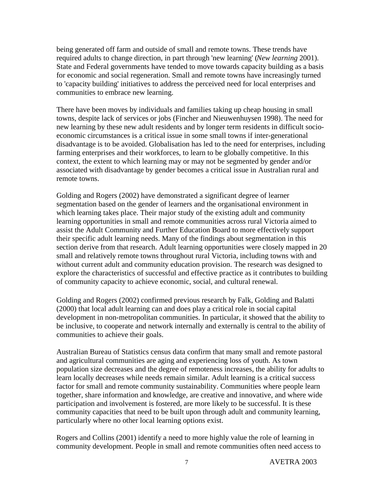being generated off farm and outside of small and remote towns. These trends have required adults to change direction, in part through 'new learning' (*New learning* 2001). State and Federal governments have tended to move towards capacity building as a basis for economic and social regeneration. Small and remote towns have increasingly turned to 'capacity building' initiatives to address the perceived need for local enterprises and communities to embrace new learning.

There have been moves by individuals and families taking up cheap housing in small towns, despite lack of services or jobs (Fincher and Nieuwenhuysen 1998). The need for new learning by these new adult residents and by longer term residents in difficult socioeconomic circumstances is a critical issue in some small towns if inter-generational disadvantage is to be avoided. Globalisation has led to the need for enterprises, including farming enterprises and their workforces, to learn to be globally competitive. In this context, the extent to which learning may or may not be segmented by gender and/or associated with disadvantage by gender becomes a critical issue in Australian rural and remote towns.

Golding and Rogers (2002) have demonstrated a significant degree of learner segmentation based on the gender of learners and the organisational environment in which learning takes place. Their major study of the existing adult and community learning opportunities in small and remote communities across rural Victoria aimed to assist the Adult Community and Further Education Board to more effectively support their specific adult learning needs. Many of the findings about segmentation in this section derive from that research. Adult learning opportunities were closely mapped in 20 small and relatively remote towns throughout rural Victoria, including towns with and without current adult and community education provision. The research was designed to explore the characteristics of successful and effective practice as it contributes to building of community capacity to achieve economic, social, and cultural renewal.

Golding and Rogers (2002) confirmed previous research by Falk, Golding and Balatti (2000) that local adult learning can and does play a critical role in social capital development in non-metropolitan communities. In particular, it showed that the ability to be inclusive, to cooperate and network internally and externally is central to the ability of communities to achieve their goals.

Australian Bureau of Statistics census data confirm that many small and remote pastoral and agricultural communities are aging and experiencing loss of youth. As town population size decreases and the degree of remoteness increases, the ability for adults to learn locally decreases while needs remain similar. Adult learning is a critical success factor for small and remote community sustainability. Communities where people learn together, share information and knowledge, are creative and innovative, and where wide participation and involvement is fostered, are more likely to be successful. It is these community capacities that need to be built upon through adult and community learning, particularly where no other local learning options exist.

Rogers and Collins (2001) identify a need to more highly value the role of learning in community development. People in small and remote communities often need access to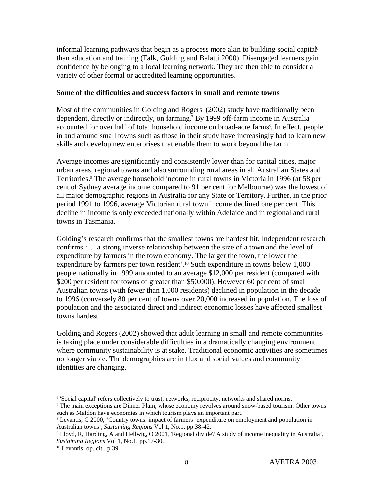informal learning pathways that begin as a process more akin to building social capital 6 than education and training (Falk, Golding and Balatti 2000). Disengaged learners gain confidence by belonging to a local learning network. They are then able to consider a variety of other formal or accredited learning opportunities.

#### **Some of the difficulties and success factors in small and remote towns**

Most of the communities in Golding and Rogers' (2002) study have traditionally been dependent, directly or indirectly, on farming. 7 By 1999 off-farm income in Australia accounted for over half of total household income on broad-acre farms 8 . In effect, people in and around small towns such as those in their study have increasingly had to learn new skills and develop new enterprises that enable them to work beyond the farm.

Average incomes are significantly and consistently lower than for capital cities, major urban areas, regional towns and also surrounding rural areas in all Australian States and Territories.<sup>9</sup> The average household income in rural towns in Victoria in 1996 (at 58 per cent of Sydney average income compared to 91 per cent for Melbourne) was the lowest of all major demographic regions in Australia for any State or Territory. Further, in the prior period 1991 to 1996, average Victorian rural town income declined one per cent. This decline in income is only exceeded nationally within Adelaide and in regional and rural towns in Tasmania.

Golding's research confirms that the smallest towns are hardest hit. Independent research confirms '… a strong inverse relationship between the size of a town and the level of expenditure by farmers in the town economy. The larger the town, the lower the expenditure by farmers per town resident'.<sup>10</sup> Such expenditure in towns below 1,000 people nationally in 1999 amounted to an average \$12,000 per resident (compared with \$200 per resident for towns of greater than \$50,000). However 60 per cent of small Australian towns (with fewer than 1,000 residents) declined in population in the decade to 1996 (conversely 80 per cent of towns over 20,000 increased in population. The loss of population and the associated direct and indirect economic losses have affected smallest towns hardest.

Golding and Rogers (2002) showed that adult learning in small and remote communities is taking place under considerable difficulties in a dramatically changing environment where community sustainability is at stake. Traditional economic activities are sometimes no longer viable. The demographics are in flux and social values and community identities are changing.

<sup>6</sup> 'Social capital' refers collectively to trust, networks, reciprocity, networks and shared norms.

<sup>7</sup> The main exceptions are Dinner Plain, whose economy revolves around snow-based tourism. Other towns such as Maldon have economies in which tourism plays an important part.

<sup>8</sup> Levantis, C 2000, 'Country towns: impact of farmers' expenditure on employment and population in Australian towns', *Sustaining Regions* Vol 1, No.1, pp.38-42.

<sup>9</sup> Lloyd, R, Harding, A and Hellwig, O 2001, 'Regional divide? A study of income inequality in Australia', *Sustaining Regions* Vol 1, No.1, pp.17-30.

<sup>10</sup> Levantis, op. cit., p.39.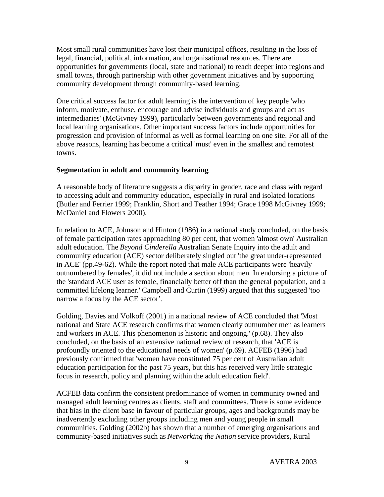Most small rural communities have lost their municipal offices, resulting in the loss of legal, financial, political, information, and organisational resources. There are opportunities for governments (local, state and national) to reach deeper into regions and small towns, through partnership with other government initiatives and by supporting community development through community-based learning.

One critical success factor for adult learning is the intervention of key people 'who inform, motivate, enthuse, encourage and advise individuals and groups and act as intermediaries' (McGivney 1999), particularly between governments and regional and local learning organisations. Other important success factors include opportunities for progression and provision of informal as well as formal learning on one site. For all of the above reasons, learning has become a critical 'must' even in the smallest and remotest towns.

### **Segmentation in adult and community learning**

A reasonable body of literature suggests a disparity in gender, race and class with regard to accessing adult and community education, especially in rural and isolated locations (Butler and Ferrier 1999; Franklin, Short and Teather 1994; Grace 1998 McGivney 1999; McDaniel and Flowers 2000).

In relation to ACE, Johnson and Hinton (1986) in a national study concluded, on the basis of female participation rates approaching 80 per cent, that women 'almost own' Australian adult education. The *Beyond Cinderella* Australian Senate Inquiry into the adult and community education (ACE) sector deliberately singled out 'the great under-represented in ACE' (pp.49-62). While the report noted that male ACE participants were 'heavily outnumbered by females', it did not include a section about men. In endorsing a picture of the 'standard ACE user as female, financially better off than the general population, and a committed lifelong learner.' Campbell and Curtin (1999) argued that this suggested 'too narrow a focus by the ACE sector'.

Golding, Davies and Volkoff (2001) in a national review of ACE concluded that 'Most national and State ACE research confirms that women clearly outnumber men as learners and workers in ACE. This phenomenon is historic and ongoing.' (p.68). They also concluded, on the basis of an extensive national review of research, that 'ACE is profoundly oriented to the educational needs of women' (p.69). ACFEB (1996) had previously confirmed that 'women have constituted 75 per cent of Australian adult education participation for the past 75 years, but this has received very little strategic focus in research, policy and planning within the adult education field'.

ACFEB data confirm the consistent predominance of women in community owned and managed adult learning centres as clients, staff and committees. There is some evidence that bias in the client base in favour of particular groups, ages and backgrounds may be inadvertently excluding other groups including men and young people in small communities. Golding (2002b) has shown that a number of emerging organisations and community-based initiatives such as *Networking the Nation* service providers, Rural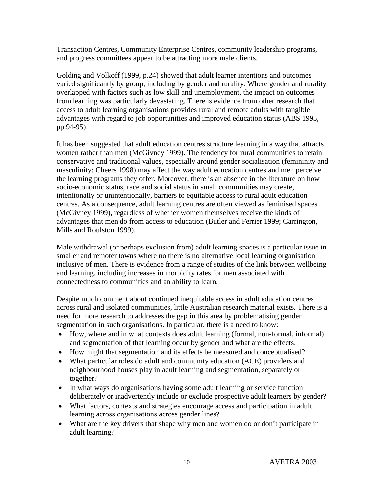Transaction Centres, Community Enterprise Centres, community leadership programs, and progress committees appear to be attracting more male clients.

Golding and Volkoff (1999, p.24) showed that adult learner intentions and outcomes varied significantly by group, including by gender and rurality. Where gender and rurality overlapped with factors such as low skill and unemployment, the impact on outcomes from learning was particularly devastating. There is evidence from other research that access to adult learning organisations provides rural and remote adults with tangible advantages with regard to job opportunities and improved education status (ABS 1995, pp.94-95).

It has been suggested that adult education centres structure learning in a way that attracts women rather than men (McGivney 1999). The tendency for rural communities to retain conservative and traditional values, especially around gender socialisation (femininity and masculinity: Cheers 1998) may affect the way adult education centres and men perceive the learning programs they offer. Moreover, there is an absence in the literature on how socio-economic status, race and social status in small communities may create, intentionally or unintentionally, barriers to equitable access to rural adult education centres. As a consequence, adult learning centres are often viewed as feminised spaces (McGivney 1999), regardless of whether women themselves receive the kinds of advantages that men do from access to education (Butler and Ferrier 1999; Carrington, Mills and Roulston 1999).

Male withdrawal (or perhaps exclusion from) adult learning spaces is a particular issue in smaller and remoter towns where no there is no alternative local learning organisation inclusive of men. There is evidence from a range of studies of the link between wellbeing and learning, including increases in morbidity rates for men associated with connectedness to communities and an ability to learn.

Despite much comment about continued inequitable access in adult education centres across rural and isolated communities, little Australian research material exists. There is a need for more research to addresses the gap in this area by problematising gender segmentation in such organisations. In particular, there is a need to know:

- How, where and in what contexts does adult learning (formal, non-formal, informal) and segmentation of that learning occur by gender and what are the effects.
- How might that segmentation and its effects be measured and conceptualised?
- What particular roles do adult and community education (ACE) providers and neighbourhood houses play in adult learning and segmentation, separately or together?
- In what ways do organisations having some adult learning or service function deliberately or inadvertently include or exclude prospective adult learners by gender?
- What factors, contexts and strategies encourage access and participation in adult learning across organisations across gender lines?
- What are the key drivers that shape why men and women do or don't participate in adult learning?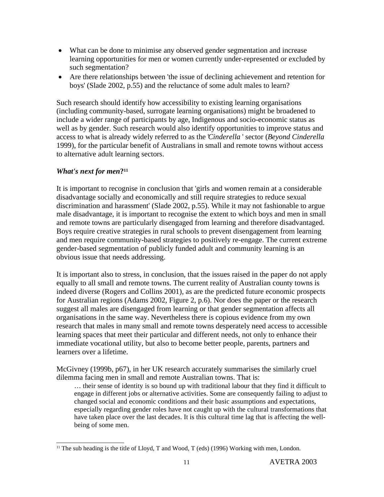- What can be done to minimise any observed gender segmentation and increase learning opportunities for men or women currently under-represented or excluded by such segmentation?
- Are there relationships between 'the issue of declining achievement and retention for boys' (Slade 2002, p.55) and the reluctance of some adult males to learn?

Such research should identify how accessibility to existing learning organisations (including community-based, surrogate learning organisations) might be broadened to include a wider range of participants by age, Indigenous and socio-economic status as well as by gender. Such research would also identify opportunities to improve status and access to what is already widely referred to as the '*Cinderella* ' sector (*Beyond Cinderella* 1999), for the particular benefit of Australians in small and remote towns without access to alternative adult learning sectors.

### *What's next for men***? 11**

It is important to recognise in conclusion that 'girls and women remain at a considerable disadvantage socially and economically and still require strategies to reduce sexual discrimination and harassment' (Slade 2002, p.55). While it may not fashionable to argue male disadvantage, it is important to recognise the extent to which boys and men in small and remote towns are particularly disengaged from learning and therefore disadvantaged. Boys require creative strategies in rural schools to prevent disengagement from learning and men require community-based strategies to positively re-engage. The current extreme gender-based segmentation of publicly funded adult and community learning is an obvious issue that needs addressing.

It is important also to stress, in conclusion, that the issues raised in the paper do not apply equally to all small and remote towns. The current reality of Australian county towns is indeed diverse (Rogers and Collins 2001), as are the predicted future economic prospects for Australian regions (Adams 2002, Figure 2, p.6). Nor does the paper or the research suggest all males are disengaged from learning or that gender segmentation affects all organisations in the same way. Nevertheless there is copious evidence from my own research that males in many small and remote towns desperately need access to accessible learning spaces that meet their particular and different needs, not only to enhance their immediate vocational utility, but also to become better people, parents, partners and learners over a lifetime.

McGivney (1999b, p67), in her UK research accurately summarises the similarly cruel dilemma facing men in small and remote Australian towns. That is:

… their sense of identity is so bound up with traditional labour that they find it difficult to engage in different jobs or alternative activities. Some are consequently failing to adjust to changed social and economic conditions and their basic assumptions and expectations, especially regarding gender roles have not caught up with the cultural transformations that have taken place over the last decades. It is this cultural time lag that is affecting the wellbeing of some men.

<sup>&</sup>lt;sup>11</sup> The sub heading is the title of Lloyd, T and Wood, T (eds) (1996) Working with men, London.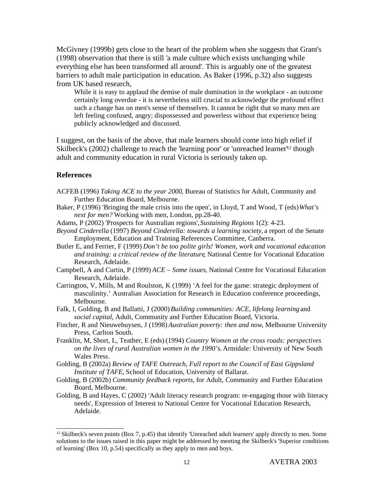McGivney (1999b) gets close to the heart of the problem when she suggests that Grant's (1998) observation that there is still 'a male culture which exists unchanging while everything else has been transformed all around'. This is arguably one of the greatest barriers to adult male participation in education. As Baker (1996, p.32) also suggests from UK based research,

While it is easy to applaud the demise of male domination in the workplace - an outcome certainly long overdue - it is nevertheless still crucial to acknowledge the profound effect such a change has on men's sense of themselves. It cannot be right that so many men are left feeling confused, angry; dispossessed and powerless without that experience being publicly acknowledged and discussed.

I suggest, on the basis of the above, that male learners should come into high relief if Skilbeck's (2002) challenge to reach the 'learning poor' or 'unreached learner<sup>12</sup> though adult and community education in rural Victoria is seriously taken up.

#### **References**

- ACFEB (1996) *Taking ACE to the year 2000*, Bureau of Statistics for Adult, Community and Further Education Board, Melbourne.
- Baker, P (1996) 'Bringing the male crisis into the open', in Lloyd, T and Wood, T (eds)*What's next for men?* Working with men, London, pp.28-40.

Adams, P (2002) 'Prospects for Australian regions',*Sustaining Regions* 1(2): 4-23.

- *Beyond Cinderella* (1997) *Beyond Cinderella: towards a learning society,* a report of the Senate Employment, Education and Training References Committee, Canberra.
- Butler E, and Ferrier, F (1999) *Don't be too polite girls! Women, work and vocational education and training: a critical review of the literature*, National Centre for Vocational Education Research, Adelaide.
- Campbell, A and Curtin, P (1999) *ACE – Some issues*, National Centre for Vocational Education Research, Adelaide.
- Carrington, V, Mills, M and Roulston, K (1999) 'A feel for the game: strategic deployment of masculinity.' Australian Association for Research in Education conference proceedings, Melbourne.
- Falk, I, Golding, B and Ballatti, J (2000)*Building communities: ACE, lifelong learning* and *social capital*, Adult, Community and Further Education Board, Victoria.
- Fincher, R and Nieuwehuysen, J (1998) *Australian poverty: then and now*, Melbourne University Press, Carlton South.
- Franklin, M, Short, L, Teather, E (eds) (1994) *Country Women at the cross roads: perspectives on the lives of rural Australian women in the 1990's.*Armidale: University of New South Wales Press.
- Golding, B (2002a) *Review of TAFE Outreach, Full report to the Council of East Gippsland Institute of TAFE*, School of Education, University of Ballarat.
- Golding, B (2002b) *Community feedback reports*, for Adult, Community and Further Education Board, Melbourne.
- Golding, B and Hayes, C (2002) 'Adult literacy research program: re-engaging those with literacy needs', Expression of Interest to National Centre for Vocational Education Research, Adelaide.

<sup>12</sup> Skilbeck's seven points (Box 7, p.45) that identify 'Unreached adult learners' apply directly to men. Some solutions to the issues raised in this paper might be addressed by meeting the Skilbeck's 'Superior conditions of learning' (Box 10, p.54) specifically as they apply to men and boys.